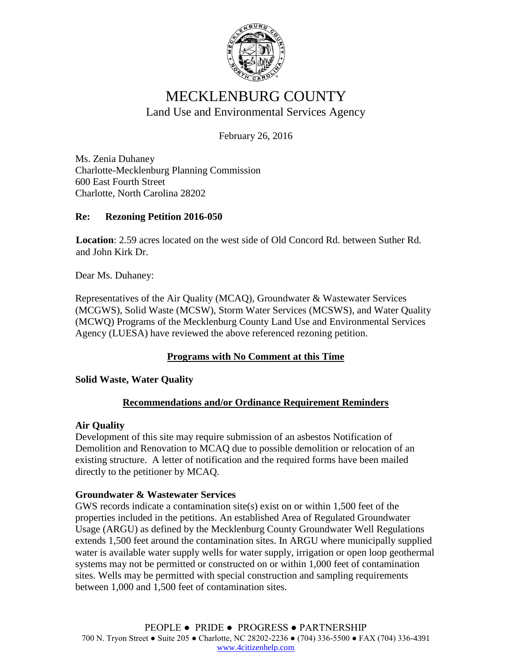

# MECKLENBURG COUNTY Land Use and Environmental Services Agency

February 26, 2016

Ms. Zenia Duhaney Charlotte-Mecklenburg Planning Commission 600 East Fourth Street Charlotte, North Carolina 28202

### **Re: Rezoning Petition 2016-050**

**Location**: 2.59 acres located on the west side of Old Concord Rd. between Suther Rd. and John Kirk Dr.

Dear Ms. Duhaney:

Representatives of the Air Quality (MCAQ), Groundwater & Wastewater Services (MCGWS), Solid Waste (MCSW), Storm Water Services (MCSWS), and Water Quality (MCWQ) Programs of the Mecklenburg County Land Use and Environmental Services Agency (LUESA) have reviewed the above referenced rezoning petition.

## **Programs with No Comment at this Time**

### **Solid Waste, Water Quality**

### **Recommendations and/or Ordinance Requirement Reminders**

### **Air Quality**

Development of this site may require submission of an asbestos Notification of Demolition and Renovation to MCAQ due to possible demolition or relocation of an existing structure. A letter of notification and the required forms have been mailed directly to the petitioner by MCAQ.

### **Groundwater & Wastewater Services**

GWS records indicate a contamination site(s) exist on or within  $1,500$  feet of the properties included in the petitions. An established Area of Regulated Groundwater Usage (ARGU) as defined by the Mecklenburg County Groundwater Well Regulations extends 1,500 feet around the contamination sites. In ARGU where municipally supplied water is available water supply wells for water supply, irrigation or open loop geothermal systems may not be permitted or constructed on or within 1,000 feet of contamination sites. Wells may be permitted with special construction and sampling requirements between 1,000 and 1,500 feet of contamination sites.